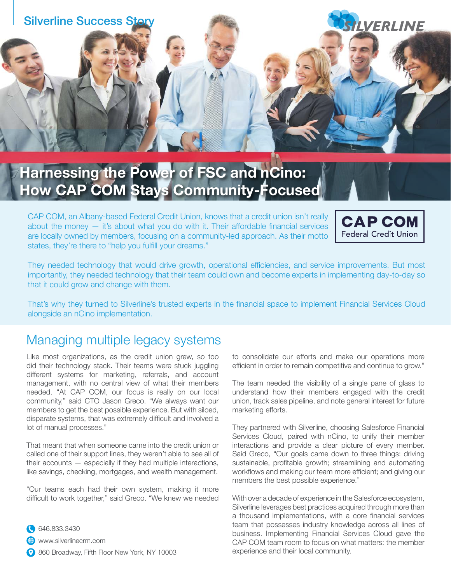

## **Harnessing the Power of FSC and nCino: How CAP COM Stays Community-Focused**

CAP COM, an Albany-based Federal Credit Union, knows that a credit union isn't really about the money  $-$  it's about what you do with it. Their affordable financial services are locally owned by members, focusing on a community-led approach. As their motto states, they're there to "help you fulfill your dreams."



They needed technology that would drive growth, operational efficiencies, and service improvements. But most importantly, they needed technology that their team could own and become experts in implementing day-to-day so that it could grow and change with them.

That's why they turned to Silverline's trusted experts in the financial space to implement Financial Services Cloud alongside an nCino implementation.

#### Managing multiple legacy systems

Like most organizations, as the credit union grew, so too did their technology stack. Their teams were stuck juggling different systems for marketing, referrals, and account management, with no central view of what their members needed. "At CAP COM, our focus is really on our local community," said CTO Jason Greco. "We always want our members to get the best possible experience. But with siloed, disparate systems, that was extremely difficult and involved a lot of manual processes."

That meant that when someone came into the credit union or called one of their support lines, they weren't able to see all of their accounts — especially if they had multiple interactions, like savings, checking, mortgages, and wealth management.

"Our teams each had their own system, making it more difficult to work together," said Greco. "We knew we needed

646.833.3430 www.silverlinecrm.com 860 Broadway, Fifth Floor New York, NY 10003 to consolidate our efforts and make our operations more efficient in order to remain competitive and continue to grow."

The team needed the visibility of a single pane of glass to understand how their members engaged with the credit union, track sales pipeline, and note general interest for future marketing efforts.

They partnered with Silverline, choosing Salesforce Financial Services Cloud, paired with nCino, to unify their member interactions and provide a clear picture of every member. Said Greco, "Our goals came down to three things: driving sustainable, profitable growth; streamlining and automating workflows and making our team more efficient; and giving our members the best possible experience."

With over a decade of experience in the Salesforce ecosystem, Silverline leverages best practices acquired through more than a thousand implementations, with a core financial services team that possesses industry knowledge across all lines of business. Implementing Financial Services Cloud gave the CAP COM team room to focus on what matters: the member experience and their local community.